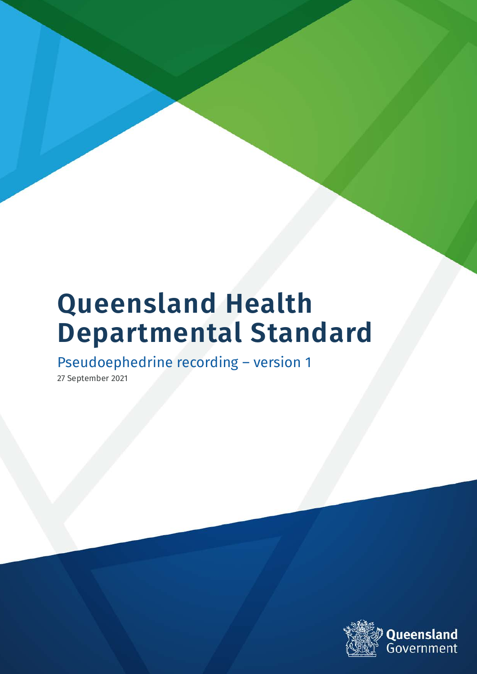# **Queensland Health Departmental Standard**

Pseudoephedrine recording – version 1

27 September 2021

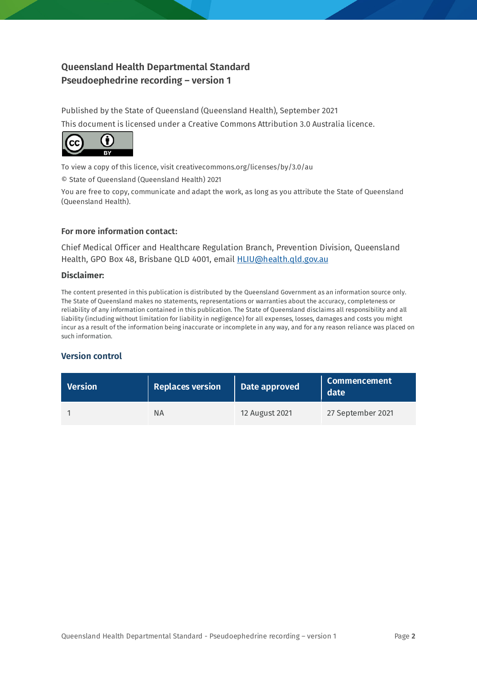#### **Queensland Health Departmental Standard Pseudoephedrine recording – version 1**

Published by the State of Queensland (Queensland Health), September 2021 This document is licensed under a Creative Commons Attribution 3.0 Australia licence.



To view a copy of this licence, visit creativecommons.org/licenses/by/3.0/au

© State of Queensland (Queensland Health) 2021

You are free to copy, communicate and adapt the work, as long as you attribute the State of Queensland (Queensland Health).

#### **For more information contact:**

Chief Medical Officer and Healthcare Regulation Branch, Prevention Division, Queensland Health, GPO Box 48, Brisbane QLD 4001, email **HLIU@health.gld.gov.au** 

#### **Disclaimer:**

The content presented in this publication is distributed by the Queensland Government as an information source only. The State of Queensland makes no statements, representations or warranties about the accuracy, completeness or reliability of any information contained in this publication. The State of Queensland disclaims all responsibility and all liability (including without limitation for liability in negligence) for all expenses, losses, damages and costs you might incur as a result of the information being inaccurate or incomplete in any way, and for any reason reliance was placed on such information.

#### **Version control**

| <b>Version</b> | <b>Replaces version</b> | Date approved  | <b>Commencement</b><br>date |
|----------------|-------------------------|----------------|-----------------------------|
|                | ΝA                      | 12 August 2021 | 27 September 2021           |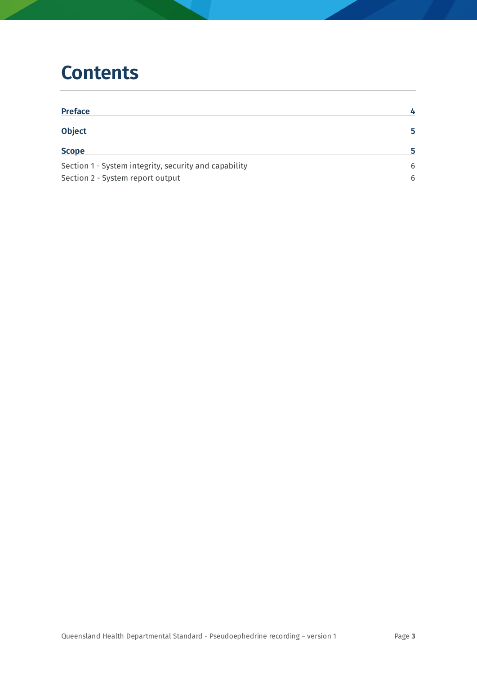### **Contents**

| <b>Preface</b>                                        | 4  |
|-------------------------------------------------------|----|
| <b>Object</b>                                         | 5. |
| <b>Scope</b>                                          | 5. |
| Section 1 - System integrity, security and capability | 6  |
| Section 2 - System report output                      |    |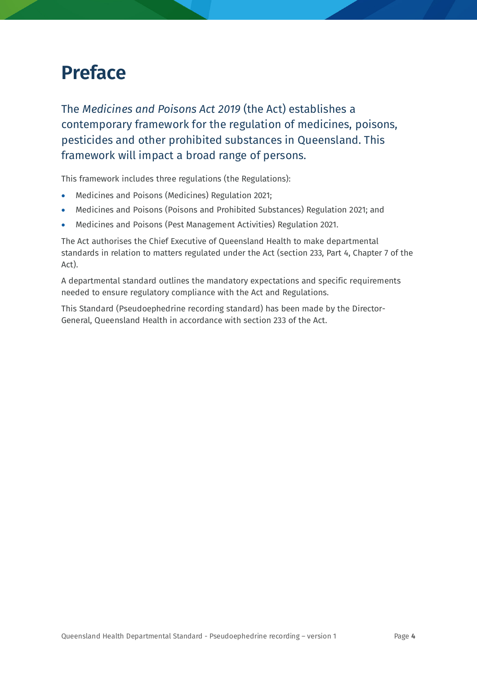### <span id="page-3-0"></span>**Preface**

The *Medicines and Poisons Act 2019* (the Act) establishes a contemporary framework for the regulation of medicines, poisons, pesticides and other prohibited substances in Queensland. This framework will impact a broad range of persons.

This framework includes three regulations (the Regulations):

- Medicines and Poisons (Medicines) Regulation 2021;
- Medicines and Poisons (Poisons and Prohibited Substances) Regulation 2021; and
- Medicines and Poisons (Pest Management Activities) Regulation 2021.

The Act authorises the Chief Executive of Queensland Health to make departmental standards in relation to matters regulated under the Act (section 233, Part 4, Chapter 7 of the Act).

A departmental standard outlines the mandatory expectations and specific requirements needed to ensure regulatory compliance with the Act and Regulations.

This Standard (Pseudoephedrine recording standard) has been made by the Director-General, Queensland Health in accordance with section 233 of the Act.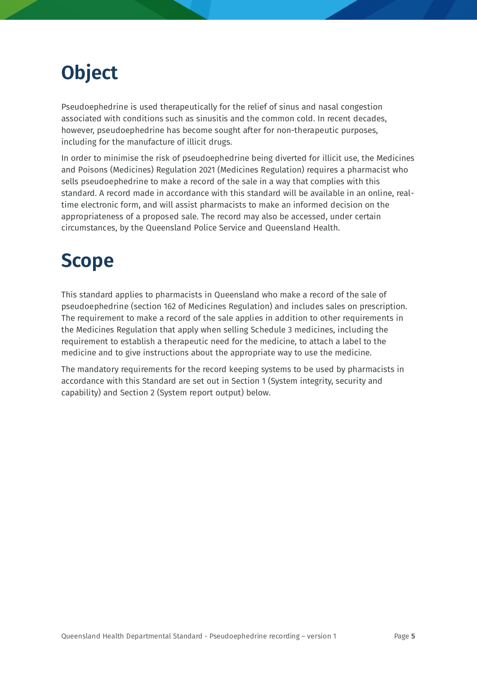## <span id="page-4-0"></span>**Object**

Pseudoephedrine is used therapeutically for the relief of sinus and nasal congestion associated with conditions such as sinusitis and the common cold. In recent decades, however, pseudoephedrine has become sought after for non-therapeutic purposes, including for the manufacture of illicit drugs.

In order to minimise the risk of pseudoephedrine being diverted for illicit use, the Medicines and Poisons (Medicines) Regulation 2021 (Medicines Regulation) requires a pharmacist who sells pseudoephedrine to make a record of the sale in a way that complies with this standard. A record made in accordance with this standard will be available in an online, realtime electronic form, and will assist pharmacists to make an informed decision on the appropriateness of a proposed sale. The record may also be accessed, under certain circumstances, by the Queensland Police Service and Queensland Health.

### <span id="page-4-1"></span>**Scope**

This standard applies to pharmacists in Queensland who make a record of the sale of pseudoephedrine (section 162 of Medicines Regulation) and includes sales on prescription. The requirement to make a record of the sale applies in addition to other requirements in the Medicines Regulation that apply when selling Schedule 3 medicines, including the requirement to establish a therapeutic need for the medicine, to attach a label to the medicine and to give instructions about the appropriate way to use the medicine.

The mandatory requirements for the record keeping systems to be used by pharmacists in accordance with this Standard are set out in Section 1 (System integrity, security and capability) and Section 2 (System report output) below.